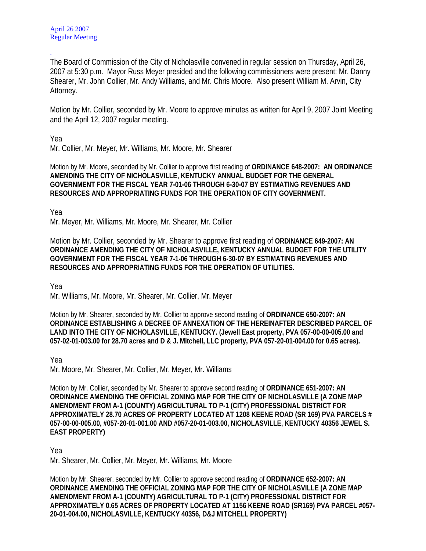The Board of Commission of the City of Nicholasville convened in regular session on Thursday, April 26, 2007 at 5:30 p.m. Mayor Russ Meyer presided and the following commissioners were present: Mr. Danny Shearer, Mr. John Collier, Mr. Andy Williams, and Mr. Chris Moore. Also present William M. Arvin, City Attorney.

Motion by Mr. Collier, seconded by Mr. Moore to approve minutes as written for April 9, 2007 Joint Meeting and the April 12, 2007 regular meeting.

Yea

.

Mr. Collier, Mr. Meyer, Mr. Williams, Mr. Moore, Mr. Shearer

Motion by Mr. Moore, seconded by Mr. Collier to approve first reading of **ORDINANCE 648-2007: AN ORDINANCE AMENDING THE CITY OF NICHOLASVILLE, KENTUCKY ANNUAL BUDGET FOR THE GENERAL GOVERNMENT FOR THE FISCAL YEAR 7-01-06 THROUGH 6-30-07 BY ESTIMATING REVENUES AND RESOURCES AND APPROPRIATING FUNDS FOR THE OPERATION OF CITY GOVERNMENT.** 

Yea

Mr. Meyer, Mr. Williams, Mr. Moore, Mr. Shearer, Mr. Collier

Motion by Mr. Collier, seconded by Mr. Shearer to approve first reading of **ORDINANCE 649-2007: AN ORDINANCE AMENDING THE CITY OF NICHOLASVILLE, KENTUCKY ANNUAL BUDGET FOR THE UTILITY GOVERNMENT FOR THE FISCAL YEAR 7-1-06 THROUGH 6-30-07 BY ESTIMATING REVENUES AND RESOURCES AND APPROPRIATING FUNDS FOR THE OPERATION OF UTILITIES.**

Yea

Mr. Williams, Mr. Moore, Mr. Shearer, Mr. Collier, Mr. Meyer

Motion by Mr. Shearer, seconded by Mr. Collier to approve second reading of **ORDINANCE 650-2007: AN ORDINANCE ESTABLISHING A DECREE OF ANNEXATION OF THE HEREINAFTER DESCRIBED PARCEL OF LAND INTO THE CITY OF NICHOLASVILLE, KENTUCKY. (Jewell East property, PVA 057-00-00-005.00 and 057-02-01-003.00 for 28.70 acres and D & J. Mitchell, LLC property, PVA 057-20-01-004.00 for 0.65 acres).** 

Yea

Mr. Moore, Mr. Shearer, Mr. Collier, Mr. Meyer, Mr. Williams

Motion by Mr. Collier, seconded by Mr. Shearer to approve second reading of **ORDINANCE 651-2007: AN ORDINANCE AMENDING THE OFFICIAL ZONING MAP FOR THE CITY OF NICHOLASVILLE (A ZONE MAP AMENDMENT FROM A-1 (COUNTY) AGRICULTURAL TO P-1 (CITY) PROFESSIONAL DISTRICT FOR APPROXIMATELY 28.70 ACRES OF PROPERTY LOCATED AT 1208 KEENE ROAD (SR 169) PVA PARCELS # 057-00-00-005.00, #057-20-01-001.00 AND #057-20-01-003.00, NICHOLASVILLE, KENTUCKY 40356 JEWEL S. EAST PROPERTY)** 

Yea

Mr. Shearer, Mr. Collier, Mr. Meyer, Mr. Williams, Mr. Moore

Motion by Mr. Shearer, seconded by Mr. Collier to approve second reading of **ORDINANCE 652-2007: AN ORDINANCE AMENDING THE OFFICIAL ZONING MAP FOR THE CITY OF NICHOLASVILLE (A ZONE MAP AMENDMENT FROM A-1 (COUNTY) AGRICULTURAL TO P-1 (CITY) PROFESSIONAL DISTRICT FOR APPROXIMATELY 0.65 ACRES OF PROPERTY LOCATED AT 1156 KEENE ROAD (SR169) PVA PARCEL #057- 20-01-004.00, NICHOLASVILLE, KENTUCKY 40356, D&J MITCHELL PROPERTY)**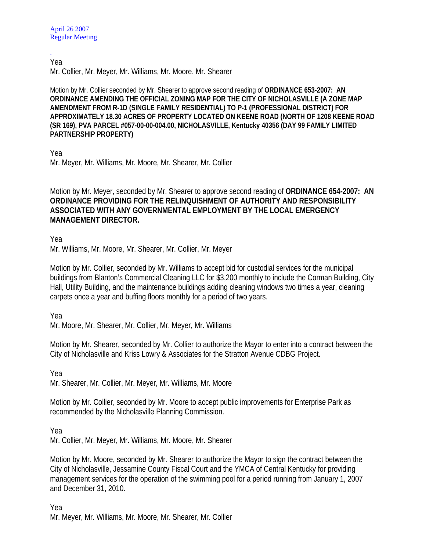. Yea

Mr. Collier, Mr. Meyer, Mr. Williams, Mr. Moore, Mr. Shearer

Motion by Mr. Collier seconded by Mr. Shearer to approve second reading of **ORDINANCE 653-2007: AN ORDINANCE AMENDING THE OFFICIAL ZONING MAP FOR THE CITY OF NICHOLASVILLE (A ZONE MAP AMENDMENT FROM R-1D (SINGLE FAMILY RESIDENTIAL) TO P-1 (PROFESSIONAL DISTRICT) FOR APPROXIMATELY 18.30 ACRES OF PROPERTY LOCATED ON KEENE ROAD (NORTH OF 1208 KEENE ROAD (SR 169), PVA PARCEL #057-00-00-004.00, NICHOLASVILLE, Kentucky 40356 (DAY 99 FAMILY LIMITED PARTNERSHIP PROPERTY)** 

Yea

Mr. Meyer, Mr. Williams, Mr. Moore, Mr. Shearer, Mr. Collier

Motion by Mr. Meyer, seconded by Mr. Shearer to approve second reading of **ORDINANCE 654-2007: AN ORDINANCE PROVIDING FOR THE RELINQUISHMENT OF AUTHORITY AND RESPONSIBILITY ASSOCIATED WITH ANY GOVERNMENTAL EMPLOYMENT BY THE LOCAL EMERGENCY MANAGEMENT DIRECTOR.** 

Yea

Mr. Williams, Mr. Moore, Mr. Shearer, Mr. Collier, Mr. Meyer

Motion by Mr. Collier, seconded by Mr. Williams to accept bid for custodial services for the municipal buildings from Blanton's Commercial Cleaning LLC for \$3,200 monthly to include the Corman Building, City Hall, Utility Building, and the maintenance buildings adding cleaning windows two times a year, cleaning carpets once a year and buffing floors monthly for a period of two years.

Yea

Mr. Moore, Mr. Shearer, Mr. Collier, Mr. Meyer, Mr. Williams

Motion by Mr. Shearer, seconded by Mr. Collier to authorize the Mayor to enter into a contract between the City of Nicholasville and Kriss Lowry & Associates for the Stratton Avenue CDBG Project.

Yea

Mr. Shearer, Mr. Collier, Mr. Meyer, Mr. Williams, Mr. Moore

Motion by Mr. Collier, seconded by Mr. Moore to accept public improvements for Enterprise Park as recommended by the Nicholasville Planning Commission.

Yea

Mr. Collier, Mr. Meyer, Mr. Williams, Mr. Moore, Mr. Shearer

Motion by Mr. Moore, seconded by Mr. Shearer to authorize the Mayor to sign the contract between the City of Nicholasville, Jessamine County Fiscal Court and the YMCA of Central Kentucky for providing management services for the operation of the swimming pool for a period running from January 1, 2007 and December 31, 2010.

Yea Mr. Meyer, Mr. Williams, Mr. Moore, Mr. Shearer, Mr. Collier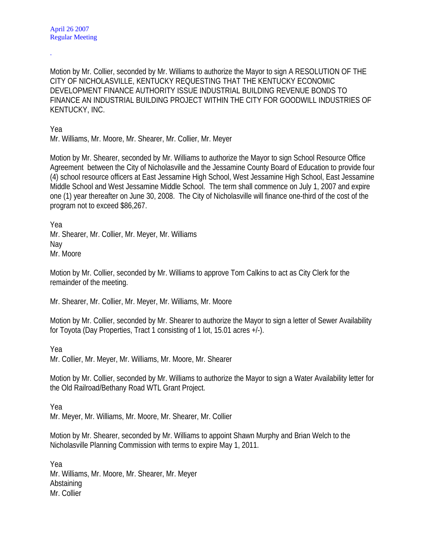Motion by Mr. Collier, seconded by Mr. Williams to authorize the Mayor to sign A RESOLUTION OF THE CITY OF NICHOLASVILLE, KENTUCKY REQUESTING THAT THE KENTUCKY ECONOMIC DEVELOPMENT FINANCE AUTHORITY ISSUE INDUSTRIAL BUILDING REVENUE BONDS TO FINANCE AN INDUSTRIAL BUILDING PROJECT WITHIN THE CITY FOR GOODWILL INDUSTRIES OF KENTUCKY, INC.

Yea

.

Mr. Williams, Mr. Moore, Mr. Shearer, Mr. Collier, Mr. Meyer

Motion by Mr. Shearer, seconded by Mr. Williams to authorize the Mayor to sign School Resource Office Agreement between the City of Nicholasville and the Jessamine County Board of Education to provide four (4) school resource officers at East Jessamine High School, West Jessamine High School, East Jessamine Middle School and West Jessamine Middle School. The term shall commence on July 1, 2007 and expire one (1) year thereafter on June 30, 2008. The City of Nicholasville will finance one-third of the cost of the program not to exceed \$86,267.

Yea Mr. Shearer, Mr. Collier, Mr. Meyer, Mr. Williams Nay Mr. Moore

Motion by Mr. Collier, seconded by Mr. Williams to approve Tom Calkins to act as City Clerk for the remainder of the meeting.

Mr. Shearer, Mr. Collier, Mr. Meyer, Mr. Williams, Mr. Moore

Motion by Mr. Collier, seconded by Mr. Shearer to authorize the Mayor to sign a letter of Sewer Availability for Toyota (Day Properties, Tract 1 consisting of 1 lot, 15.01 acres +/-).

Yea

Mr. Collier, Mr. Meyer, Mr. Williams, Mr. Moore, Mr. Shearer

Motion by Mr. Collier, seconded by Mr. Williams to authorize the Mayor to sign a Water Availability letter for the Old Railroad/Bethany Road WTL Grant Project.

Yea

Mr. Meyer, Mr. Williams, Mr. Moore, Mr. Shearer, Mr. Collier

Motion by Mr. Shearer, seconded by Mr. Williams to appoint Shawn Murphy and Brian Welch to the Nicholasville Planning Commission with terms to expire May 1, 2011.

Yea Mr. Williams, Mr. Moore, Mr. Shearer, Mr. Meyer Abstaining Mr. Collier